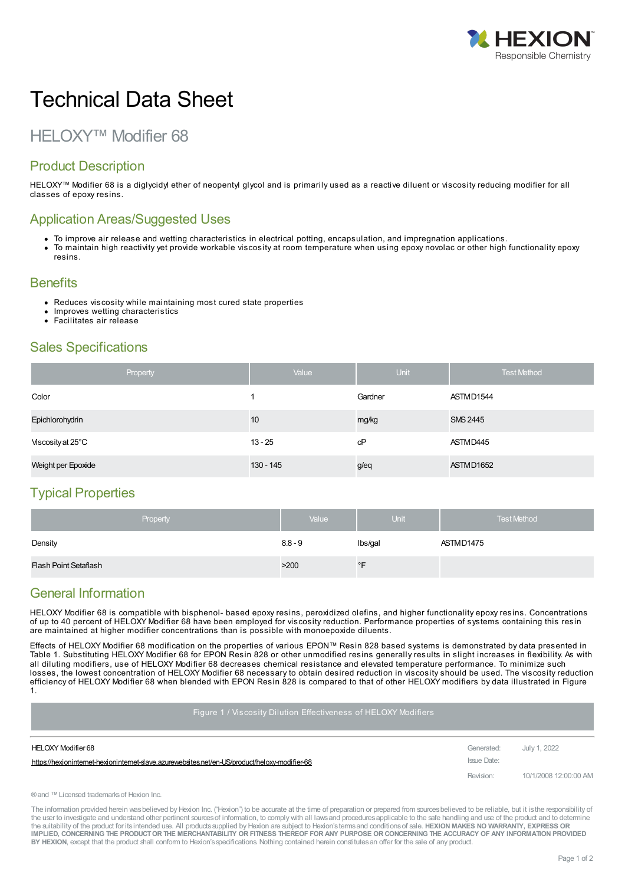

# Technical Data Sheet

## HELOXY™ Modifier 68

### Product Description

HELOXY™ Modifier 68 is a diglycidyl ether of neopentyl glycol and is primarily used as a reactive diluent or viscosity reducing modifier for all classes of epoxy resins.

#### Application Areas/Suggested Uses

- To improve air release and wetting characteristics in electrical potting, encapsulation, and impregnation applications.
- To maintain high reactivity yet provide workable viscosity at room temperature when using epoxy novolac or other high functionality epoxy resins.

#### **Benefits**

- Reduces viscosity while maintaining most cured state properties
- Improves wetting characteristics
- Facilitates air release

#### Sales Specifications

|                    | Property | Value     | <b>Unit</b> | <b>Test Method</b> |
|--------------------|----------|-----------|-------------|--------------------|
| Color              |          |           | Gardner     | ASTMD1544          |
| Epichlorohydrin    |          | 10        | mg/kg       | <b>SMS 2445</b>    |
| Viscosity at 25°C  |          | $13 - 25$ | сP          | ASTMD445           |
| Weight per Epoxide |          | 130 - 145 | g/eq        | ASTMD1652          |

#### Typical Properties

| Property              | Value     | Unit        | <b>Test Method</b> |
|-----------------------|-----------|-------------|--------------------|
| Density               | $8.8 - 9$ | Ibs/gal     | ASTMD1475          |
| Flash Point Setaflash | >200      | $\degree$ F |                    |

#### General Information

HELOXY Modifier 68 is compatible with bisphenol- based epoxy resins, peroxidized olefins, and higher functionality epoxy resins. Concentrations of up to 40 percent of HELOXY Modifier 68 have been employed for viscosity reduction. Performance properties of systems containing this resin are maintained at higher modifier concentrations than is possible with monoepoxide diluents.

Effects of HELOXY Modifier 68 modification on the properties of various EPON™ Resin 828 based systems is demonstrated by data presented in Table 1. Substituting HELOXY Modifier 68 for EPON Resin 828 or other unmodified resins generally results in slight increases in flexibility. As with all diluting modifiers, use of HELOXY Modifier 68 decreases chemical resistance and elevated temperature performance. To minimize such losses, the lowest concentration of HELOXY Modifier 68 necessary to obtain desired reduction in viscosity should be used. The viscosity reduction efficiency of HELOXY Modifier 68 when blended with EPON Resin 828 is compared to that of other HELOXY modifiers by data illustrated in Figure 1.

Figure 1 / Viscosity Dilution Effectiveness of HELOXY Modifiers

| HELOXY Modifier 68                                                                             | Generated:  | July 1, 2022          |
|------------------------------------------------------------------------------------------------|-------------|-----------------------|
| https://hexioninternet-hexioninternet-slave.azurewebsites.net/en-US/product/heloxy-modifier-68 | Issue Date: |                       |
|                                                                                                | Revision:   | 10/1/2008 12:00:00 AM |

®and ™Licensed trademarksof Hexion Inc.

The information provided herein was believed by Hexion Inc. ("Hexion") to be accurate at the time of preparation or prepared from sources believed to be reliable, but it is the responsibility of the user to investigate and understand other pertinent sources of information, to comply with all laws and procedures applicable to the safe handling and use of the product and to determine the suitability of the product for itsintended use. All productssupplied by Hexion are subject to Hexion'stermsand conditionsof sale. **HEXION MAKES NO WARRANTY, EXPRESS OR** IMPLIED, CONCERNING THE PRODUCT OR THE MERCHANTABILITY OR FITNESS THEREOF FOR ANY PURPOSE OR CONCERNING THE ACCURACY OF ANY INFORMATION PROVIDED **BY HEXION**, except that the product shall conform to Hexion'sspecifications. Nothing contained herein constitutesan offer for the sale of any product.